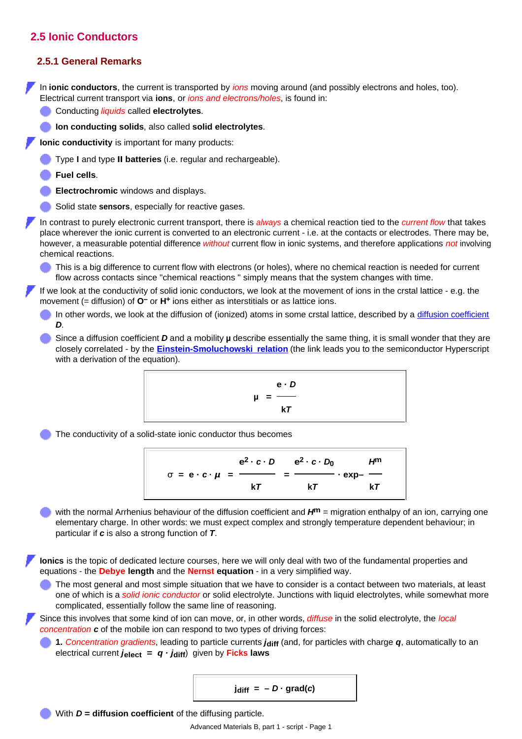## **2.5 Ionic Conductors**

## **2.5.1 General Remarks**

In **ionic conductors**, the current is transported by *ions* moving around (and possibly electrons and holes, too). Electrical current transport via **ions**, or *ions and electrons/holes*, is found in:

- Conducting *liquids* called **electrolytes**.
- **Ion conducting solids**, also called **solid electrolytes**.

**Ionic conductivity** is important for many products:

- Type **I** and type **II batteries** (i.e. regular and rechargeable).
- **Fuel cells**.
- **Electrochromic** windows and displays.
- Solid state **sensors**, especially for reactive gases.

In contrast to purely electronic current transport, there is *always* a chemical reaction tied to the *current flow* that takes place wherever the ionic current is converted to an electronic current - i.e. at the contacts or electrodes. There may be, however, a measurable potential difference *without* current flow in ionic systems, and therefore applications *not* involving chemical reactions.

This is a big difference to current flow with electrons (or holes), where no chemical reaction is needed for current flow across contacts since "chemical reactions " simply means that the system changes with time.

If we look at the conductivity of solid ionic conductors, we look at the movement of ions in the crstal lattice - e.g. the movement (= diffusion) of **O–** or **H+** ions either as interstitials or as lattice ions.

- In other words, we look at the diffusion of (ionized) atoms in some crstal lattice, described by a [diffusion coefficient](http://www.tf.uni-kiel.de/matwis/amat/mw1_ge/kap_6/backbone/r6_2_2.html) *D*.
- Since a diffusion coefficient *D* and a mobility **µ** describe essentially the same thing, it is small wonder that they are closely correlated - by the **[Einstein-Smoluchowski relation](http://www.tf.uni-kiel.de/matwis/amat/semi_en/kap_2/backbone/r2_3_4.html)** (the link leads you to the semiconductor Hyperscript with a derivation of the equation).

$$
\mu = \frac{e \cdot D}{kT}
$$

The conductivity of a solid-state ionic conductor thus becomes

$$
\sigma = e \cdot c \cdot \mu = \frac{e^2 \cdot c \cdot D}{kT} = \frac{e^2 \cdot c \cdot D_0}{kT} \cdot exp-\frac{H^m}{kT}
$$

with the normal Arrhenius behaviour of the diffusion coefficient and  $H^m$  = migration enthalpy of an ion, carrying one elementary charge. In other words: we must expect complex and strongly temperature dependent behaviour; in particular if *c* is also a strong function of *T*.

**Ionics** is the topic of dedicated lecture courses, here we will only deal with two of the fundamental properties and equations - the **Debye length** and the **Nernst equation** - in a very simplified way.

The most general and most simple situation that we have to consider is a contact between two materials, at least one of which is a *solid ionic conductor* or solid electrolyte. Junctions with liquid electrolytes, while somewhat more complicated, essentially follow the same line of reasoning.

Since this involves that some kind of ion can move, or, in other words, *diffuse* in the solid electrolyte, the *local concentration c* of the mobile ion can respond to two types of driving forces:

**1.** *Concentration gradients*, leading to particle currents *j***diff** (and, for particles with charge *q*, automatically to an electrical current  $j_{\text{elect}} = q \cdot j_{\text{diff}}$  given by Ficks laws

$$
j_{\text{diff}} = -D \cdot \text{grad}(c)
$$

With *D* = **diffusion coefficient** of the diffusing particle.